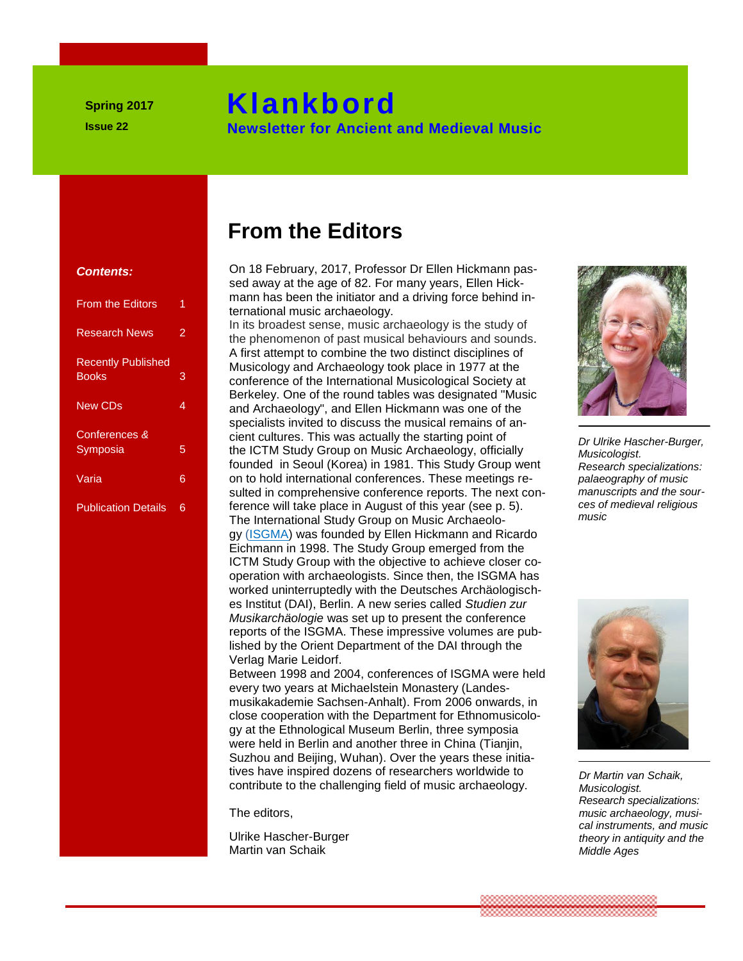# **Klankbord**

 **Newsletter for Ancient and Medieval Music**

#### **Contents:**

| <b>From the Editors</b>                   | 1 |
|-------------------------------------------|---|
| <b>Research News</b>                      | 2 |
| <b>Recently Published</b><br><b>Books</b> | 3 |
| <b>New CDs</b>                            | 4 |
| Conferences &<br>Symposia                 | 5 |
| Varia                                     | 6 |
| <b>Publication Details</b>                | 6 |

# **From the Editors**

 **Klankbord (Klankbord)** 

On 18 February, 2017, Professor Dr Ellen Hickmann pas-**Contents:** On 18 February, 2017, Protessor Dr Ellen Hickmann pa<br>sed away at the age of 82. For many years, Ellen Hick-<br>Fram the Editeration and a design of the initiator and a driving force behind in mann has been the initiator and a driving force behind in-*<b> Nieuwise music archaeology. Nieuwse music archaeology.* 

In its broadest sense, music archaeology is the study of the phenomenon of past musical behaviours and sounds. the phenomenon of past musical behaviours and sound<br>A first attempt to combine the two distinct disciplines of Recently Published<br>
Books **3**<br>
Recently 2009 and Archaeology took place in 1977 at the conference of the International Musicological Society a conference of the International Musicological Society at Berkeley. One of the round tables was designated "Music **and Archaeology", and Ellen Hickmann was one of the van de redactive music music music environmental and Archaeology", and Ellen Hickmann was one of the** specialists invited to discuss the musical remains of ancient cultures. This was actually the starting point of **Symposia 1988 5 1989 1999 1999 1999 1999 1999 1999 1999 1999 1999 1999 1999 1999 1999 1999 1999 1999 1999 1999 1999 1999 1999 1999 1999 1999 1999 1999 1999 199** founded in Seoul (Korea) in 1981. This Study Group went **From the Editors** on to hold international conferences. These meetings resulted in comprehensive conference reports. The next con-<br> **Sulted in comprehensive conference reports.** The next conference will take place in August of this year (see p. 5). The International Study Group on Music Archaeology [\(ISGMA\)](http://www.musicarchaeology.org/index.php) was founded by Ellen Hickmann and Ricardo Eichmann in 1998. The Study Group emerged from the ICTM Study Group with the objective to achieve closer co-<br> **Electronal Books Co-**<br> **ICTM Study Group with the objective to achieve closer co-**<br> **ICTM Study Group with the objective to achieve closer co-Since then, the ISGMA has a van de redaction with archaeologists. Since then, the ISGMA has a van de redaction with the Person and the ISGMA has a variety of the ISGMA has weakened with the Person and the ISGMA has a vari** worked uninterruptedly with the Deutsches Archäologisches Institut (DAI), Berlin. A new series called *Studien zur Musikarchäologie* was set up to present the conference reports of the ISGMA. These impressive volumes are pub-<br>lished by the Orient Department of the DAL through the lished by the Orient Department of the DAI through the Verlag Marie Leidorf. **1990 The Second School School School School School School School School School School School School School School School School School School School School School School School School School School School School School Sc** 

**Between 1998 and 2004, conferences of ISGMA were held** every two years at Michaelstein Monastery (Landesmusikakademie Sachsen-Anhalt). From 2006 onwards, in close cooperation with the Department for Ethnomusicology at the Ethnological Museum Berlin, three symposia<br> **and the Ethnological Museum Berlin, three symposia**<br> **Starting Were held in Berlin and another three in China (Tianjin,** were held in Berlin and another three in China (Tianjin, Suzhou and Beijing, Wuhan). Over the years these initiatives have inspired dozens of researchers worldwide to  $N_{\text{in}}$  of the search of researchers worldwide to  $N_{\text{in}}$  of  $N_{\text{in}}$ contribute to the challenging field of music archaeology.

The editors,

Ulrike Hascher-Burger Martin van Schaik



*Dr Ulrike Hascher-Burger, Musicologist. Research specializations: palaeography of music manuscripts and the sources of medieval religious music*



*Dr Martin van Schaik, Musicologist. Research specializations: music archaeology, musical instruments, and music theory in antiquity and the Middle Ages*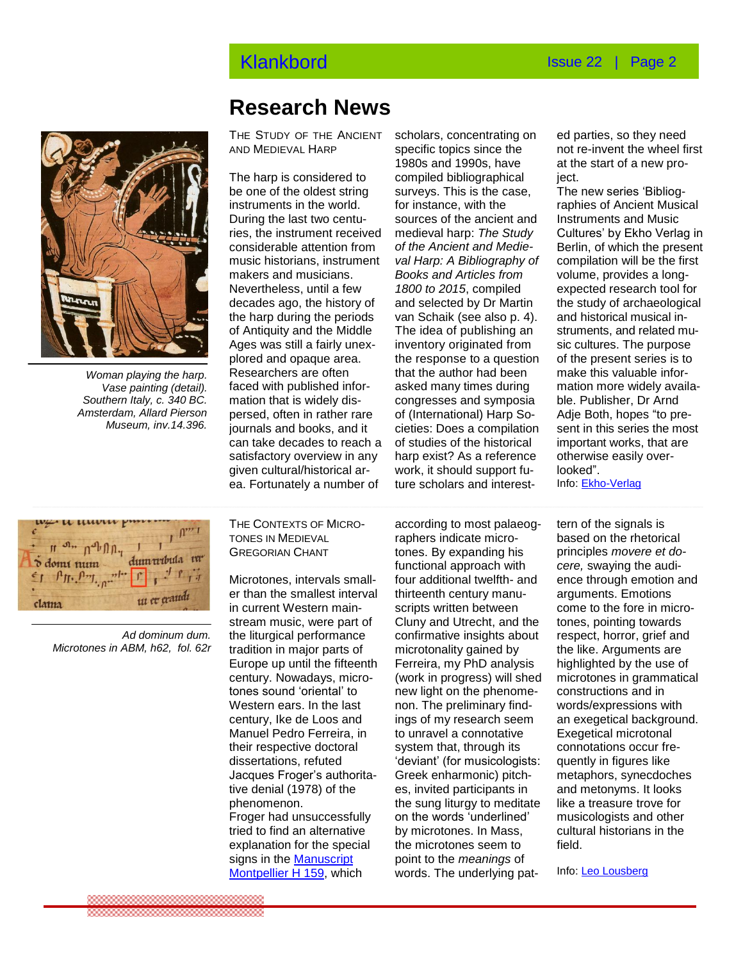

*Woman playing the harp. Vase painting (detail). Southern Italy, c. 340 BC. Amsterdam, Allard Pierson Museum, inv.14.396.* 

## **Research News**

THE STUDY OF THE ANCIENT AND MEDIEVAL HARP

ries, the instrument received medieval harp: The Study ( Nevertheless, until a few and *1800 to 2015*, compiled a last of the data.<br>decades ago, the history of and selected by Dr Martin th plored and opaque area.<br>Peasarchare.org.offer.com persed, often in rather rare or (international) Harp So- *I*<br>journals and books, and it cieties: Does a compilation s The harp is considered to be one of the oldest string instruments in the world. During the last two centuconsiderable attention from music historians, instrument makers and musicians. Nevertheless, until a few the harp during the periods of Antiquity and the Middle Ages was still a fairly unex-Researchers are often faced with published information that is widely dispersed, often in rather rare journals and books, and it can take decades to reach a satisfactory overview in any given cultural/historical ar-

1980s and 1990s, have<br>The harp is considered to compiled bibliographical j ea. Fortunately a number of ture scholars and interestscholars, concentrating on specific topics since the 1980s and 1990s, have surveys. This is the case, for instance, with the sources of the ancient and medieval harp: *The Study of the Ancient and Medieval Harp: A Bibliography of Books and Articles from 1800 to 2015*, compiled and selected by Dr Martin van Schaik (see also p. 4). The idea of publishing an inventory originated from the response to a question that the author had been asked many times during congresses and symposia of (International) Harp Soof studies of the historical harp exist? As a reference work, it should support future scholars and interest-

ed parties, so they need not re-invent the wheel first at the start of a new proiect.

The new series 'Bibliographies of Ancient Musical Instruments and Music Cultures' by Ekho Verlag in Berlin, of which the present compilation will be the first volume, provides a longexpected research tool for the study of archaeological and historical musical instruments, and related music cultures. The purpose of the present series is to make this valuable information more widely available. Publisher, Dr Arnd Adje Both, hopes "to present in this series the most important works, that are otherwise easily overlooked".

Info: [Ekho-Verlag](https://www.ekho-verlag.com/about/)



 *Ad dominum dum. Microtones in ABM, h62, fol. 62r*

THE CONTEXTS OF MICRO-TONES IN MEDIEVAL GREGORIAN CHANT

Microtones, intervals smaller than the smallest interval in current Western mainstream music, were part of the liturgical performance tradition in major parts of Europe up until the fifteenth century. Nowadays, microtones sound 'oriental' to Western ears. In the last century, Ike de Loos and Manuel Pedro Ferreira, in their respective doctoral dissertations, refuted Jacques Froger's authoritative denial (1978) of the phenomenon. Froger had unsuccessfully tried to find an alternative explanation for the special signs in the [Manuscript](http://www.archive.org/stream/palographiemus0105gaja#page/48/mode/2up)  [Montpellier H 159,](http://www.archive.org/stream/palographiemus0105gaja#page/48/mode/2up) which

Noves in Mebleval **Reflexes in the ones in the ones in the structure**<br>GREGORIAN CHANT **tones.** By expanding his according to most palaeographers indicate microfunctional approach with four additional twelfth- and thirteenth century manuscripts written between Cluny and Utrecht, and the confirmative insights about microtonality gained by Ferreira, my PhD analysis (work in progress) will shed new light on the phenomenon. The preliminary findings of my research seem to unravel a connotative system that, through its 'deviant' (for musicologists: Greek enharmonic) pitches, invited participants in the sung liturgy to meditate on the words 'underlined' by microtones. In Mass, the microtones seem to point to the *meanings* of words. The underlying pat-

tern of the signals is based on the rhetorical principles *movere et docere,* swaying the audience through emotion and arguments. Emotions come to the fore in microtones, pointing towards respect, horror, grief and the like. Arguments are highlighted by the use of microtones in grammatical constructions and in words/expressions with an exegetical background. Exegetical microtonal connotations occur frequently in figures like metaphors, synecdoches and metonyms. It looks like a treasure trove for musicologists and other cultural historians in the field.

Info: [Leo Lousberg](http://microgrego.blogspot.nl/)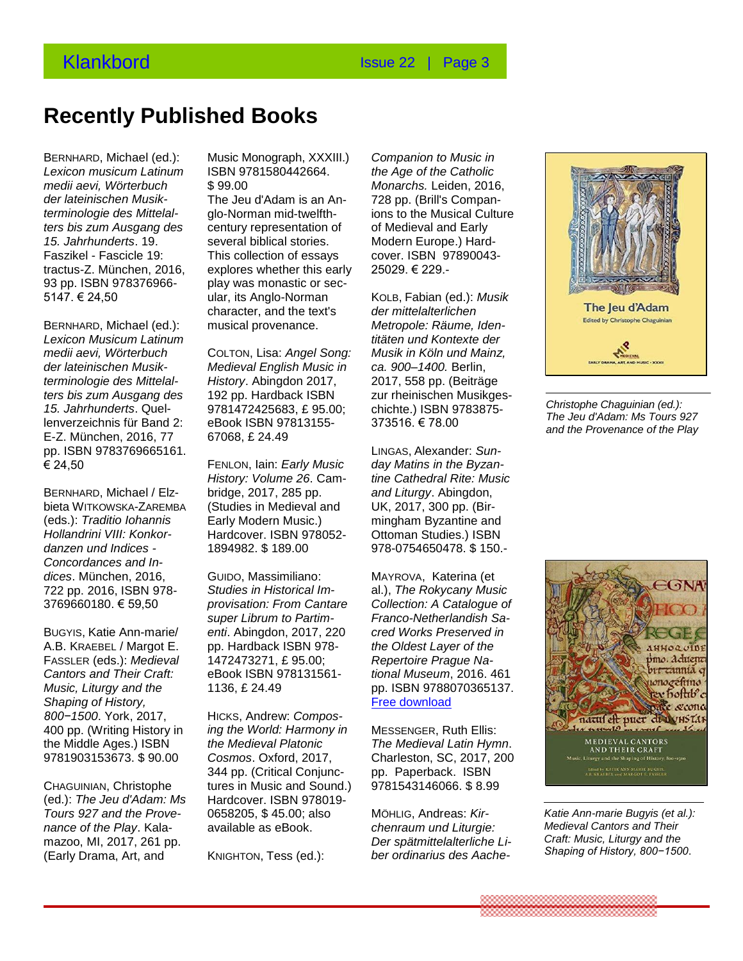*the Age of the Catholic Monarchs.* Leiden, 2016, 728 pp. (Brill's Companions to the Musical Culture of Medieval and Early Modern Europe.) Hardcover. ISBN 97890043- 25029. € 229.-

*Companion to Music in* 

KOLB, Fabian (ed.): *Musik der mittelalterlichen Metropole: Räume, Identitäten und Kontexte der Musik in Köln und Mainz, ca. 900–1400.* Berlin, 2017, 558 pp. (Beiträge zur rheinischen Musikgeschichte.) ISBN 9783875- 373516. € 78.00

LINGAS, Alexander: *Sunday Matins in the Byzantine Cathedral Rite: Music and Liturgy*. Abingdon, UK, 2017, 300 pp. (Birmingham Byzantine and Ottoman Studies.) ISBN 978-0754650478. \$ 150.-

MAYROVA, Katerina (et al.), *The Rokycany Music Collection: A Catalogue of Franco-Netherlandish Sacred Works Preserved in the Oldest Layer of the Repertoire Prague National Museum*, 2016. 461 pp. ISBN 9788070365137. [Free download](http://www.nm.cz/Publications/Electronic-Publications/The-Rokycany-Music-Collection-A-Catalogue-of-Franco-Netherlandish-Sacred-Works-Preserved-in-the-Oldest-Layer-of-the-Reper-toire.html?xSET=lang&xLANG=2)

MESSENGER, Ruth Ellis: *The Medieval Latin Hymn*. Charleston, SC, 2017, 200 pp. Paperback. ISBN 9781543146066. \$ 8.99

MÖHLIG, Andreas: *Kirchenraum und Liturgie: Der spätmittelalterliche Liber ordinarius des Aache-*

## **Recently Published Books**

BERNHARD, Michael (ed.): *Lexicon musicum Latinum*  Lexicon musicum Latinum ISBN 9781580442664.<br>medii aevi, Wörterbuch \$ 99.00 *der lateinischen Musikterminologie des Mittelalters bis zum Ausgang des 15. Jahrhunderts*. 19. Faszikel - Fascicle 19: tractus-Z. München, 2016, 93 pp. ISBN 978376966- 5147. € 24,50 15. Jahrhunderts. 19. **Recent Stories.**<br>
Fig. 3. **Recent Stories Recent Stories.** 

BERNHARD, Michael (ed.): *Lexicon Musicum Latinum medii aevi, Wörterbuch*  der lateinischen Musik-**Medieval English Musik-**<br>International Published Booksal Published Books *terminologie des Mittelalters bis zum Ausgang des 15. Jahrhunderts*. Quellenverzeichnis für Band 2: E-Z. München, 2016, 77 **Recent verschenen boeken**  pp. ISBN 9783769665161. € 24,50

bieta WITKOWSKA-ZAREMBA (eds.): *Traditio Iohannis Hollandrini VIII: Konkordanzen und Indices - Concordances* **and** *Indices* **Concordances and In-**<br>Concordances and In*dices*. München, 2016, 722 pp. 2016, ISBN 978- 3769660180. € 59,50

BUGYIS, Katie Ann-marie/ A.B. KRAEBEL / Margot E. FASSLER (eds.): *Medieval Cantors and Their Craft: Music, Liturgy and the Shaping of History, 800−1500*. York, 2017, 400 pp. (Writing History in the Middle Ages.) ISBN 9781903153673. \$ 90.00

CHAGUINIAN, Christophe (ed.): *The Jeu d'Adam: Ms Tours 927 and the Provenance of the Play*. Kalamazoo, MI, 2017, 261 pp. (Early Drama, Art, and

Music Monograph, XXXIII.) ISBN 9781580442664. \$ 99.00

alar, its Anglo-Normanل b147. <del>€</del> 24,50<br>character, and the text's The Jeu d'Adam is an Anglo-Norman mid-twelfthcentury representation of This collection of essays explores whether this early play was monastic or secular, its Anglo-Norman musical provenance.

> COLTON, Lisa: *Angel Song: Medieval English Music in History*. Abingdon 2017, 192 pp. Hardback ISBN 9781472425683, £ 95.00; eBook ISBN 97813155- 67068, £ 24.49

**BERNHARD, Michael / Elz-** bridge, 2017, 285 pp.<br>histo Wittgeweise Zappuna (Studies in Madievel on FENLON, Iain: *Early Music History: Volume 26*. Cambridge, 2017, 285 pp. (Studies in Medieval and Early Modern Music.) Hardcover. ISBN 978052- 1894982. \$ 189.00

> GUIDO, Massimiliano: *Studies in Historical Improvisation: From Cantare super Librum to Partimenti*. Abingdon, 2017, 220 pp. Hardback ISBN 978- 1472473271, £ 95.00; eBook ISBN 978131561- 1136, £ 24.49

HICKS, Andrew: *Composing the World: Harmony in the Medieval Platonic Cosmos*. Oxford, 2017, 344 pp. (Critical Conjunctures in Music and Sound.) Hardcover. ISBN 978019- 0658205, \$ 45.00; also available as eBook.

KNIGHTON, Tess (ed.):

*Christophe Chaguinian (ed.): The Jeu d'Adam: Ms Tours 927 and the Provenance of the Play*



*Katie Ann-marie Bugyis (et al.): Medieval Cantors and Their Craft: Music, Liturgy and the Shaping of History, 800−1500*.

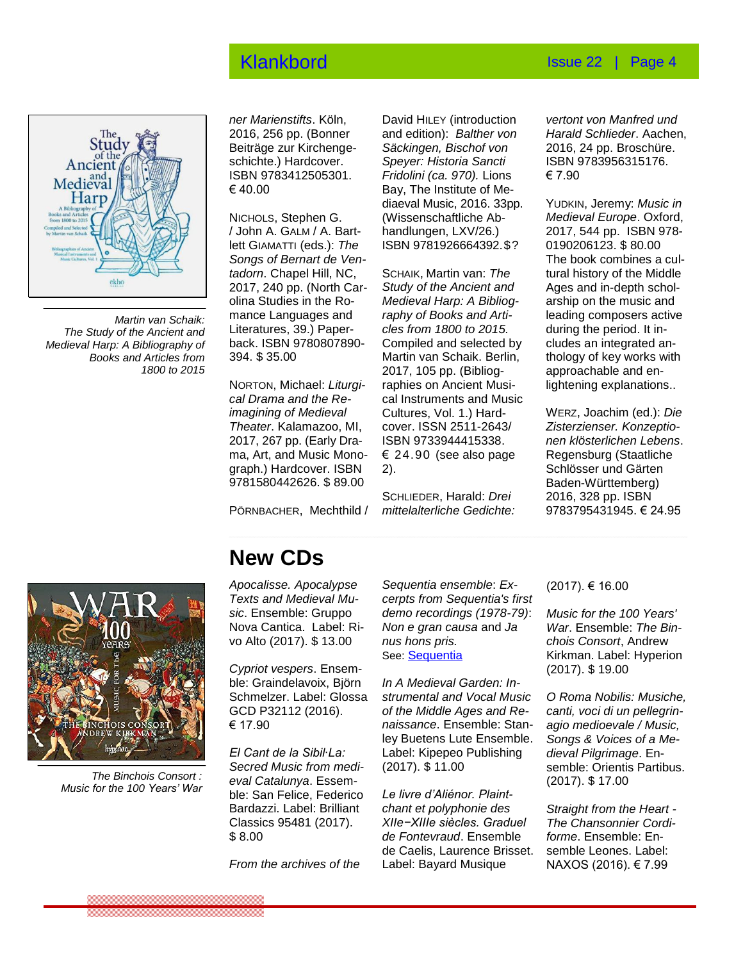### Klankbord Issue 22 | Page 4



*Martin van Schaik: The Study of the Ancient and Medieval Harp: A Bibliography of Books and Articles from 1800 to 2015*

*ner Marienstifts*. Köln, 2016, 256 pp. (Bonner Beiträge zur Kirchengeschichte.) Hardcover. ISBN 9783412505301. € 40.00

NICHOLS, Stephen G. / John A. GALM / A. Bartlett GIAMATTI (eds.): *The Songs of Bernart de Ventadorn*. Chapel Hill, NC, 2017, 240 pp. (North Carolina Studies in the Romance Languages and Literatures, 39.) Paperback. ISBN 9780807890- 394. \$ 35.00

NORTON, Michael: *Liturgical Drama and the Reimagining of Medieval Theater*. Kalamazoo, MI, 2017, 267 pp. (Early Drama, Art, and Music Monograph.) Hardcover. ISBN 9781580442626. \$ 89.00

PÖRNBACHER, Mechthild /

David HILEY (introduction and edition): *Balther von Säckingen, Bischof von Speyer: Historia Sancti Fridolini (ca. 970).* Lions Bay, The Institute of Mediaeval Music, 2016. 33pp. (Wissenschaftliche Abhandlungen, LXV/26.) ISBN 9781926664392.\$?

SCHAIK, Martin van: *The Study of the Ancient and Medieval Harp: A Bibliography of Books and Articles from 1800 to 2015.*  Compiled and selected by Martin van Schaik. Berlin, 2017, 105 pp. (Bibliographies on Ancient Musical Instruments and Music Cultures, Vol. 1.) Hardcover. ISSN 2511-2643/ ISBN 9733944415338.  $\epsilon$  24.90 (see also page 2).

SCHLIEDER, Harald: *Drei mittelalterliche Gedichte:*

*vertont von Manfred und Harald Schlieder*. Aachen, 2016, 24 pp. Broschüre. ISBN 9783956315176. € 7.90

YUDKIN, Jeremy: *Music in Medieval Europe*. Oxford, 2017, 544 pp. ISBN 978- 0190206123. \$ 80.00 The book combines a cultural history of the Middle Ages and in-depth scholarship on the music and leading composers active during the period. It includes an integrated anthology of key works with approachable and enlightening explanations..

WERZ, Joachim (ed.): *Die Zisterzienser. Konzeptionen klösterlichen Lebens*. Regensburg (Staatliche Schlösser und Gärten Baden-Württemberg) 2016, 328 pp. ISBN 9783795431945. € 24.95



 *The Binchois Consort : Music for the 100 Years' War*

## **New CDs**

*Apocalisse. Apocalypse Texts and Medieval Mu-I* exts and Medieval Mu-<br>sic. Ensemble: Gruppo Nova Cantica. Label: Rivo Alto (2017). \$ 13.00

*Cypriot vespers.* Ensemble: Graindelavoix, Björn Schmelzer. Label: Glossa<br>GCD P32112 (2016). GCD P32112 (2016).  $€ 17.90$ 

*El Cant de la Sibil∙La: Secred Music from medieval Catalunya*. Essemble: San Felice, Federico<br>Bardazzi, Label: Brilliant Bardazzi. Label: Brilliant Classics 95481 (2017). \$ 8.00  $\psi$  O.OO

*From the archives of the* 

*Sequentia ensemble*: *Excerpts from Sequentia's first demo recordings (1978-79)*: *Non e gran causa* and *Ja nus hons pris.* See: [Sequentia](http://www.sequentia.org/archives.html)

*In A Medieval Garden: Instrumental and Vocal Music of the Middle Ages and Renaissance*. Ensemble: Stanley Buetens Lute Ensemble. Label: Kipepeo Publishing (2017). \$ 11.00

*Le livre d'Aliénor. Plaintchant et polyphonie des XIIe−XIIIe siècles. Graduel de Fontevraud*. Ensemble de Caelis, Laurence Brisset. Label: Bayard Musique

(2017). € 16.00

*Music for the 100 Years' War*. Ensemble: *The Binchois Consort*, Andrew Kirkman. Label: Hyperion (2017). \$ 19.00

*O Roma Nobilis: Musiche, canti, voci di un pellegrinagio medioevale / Music, Songs & Voices of a Medieval Pilgrimage*. Ensemble: Orientis Partibus. (2017). \$ 17.00

*Straight from the Heart - The Chansonnier Cordiforme*. Ensemble: Ensemble Leones. Label: NAXOS (2016). € 7.99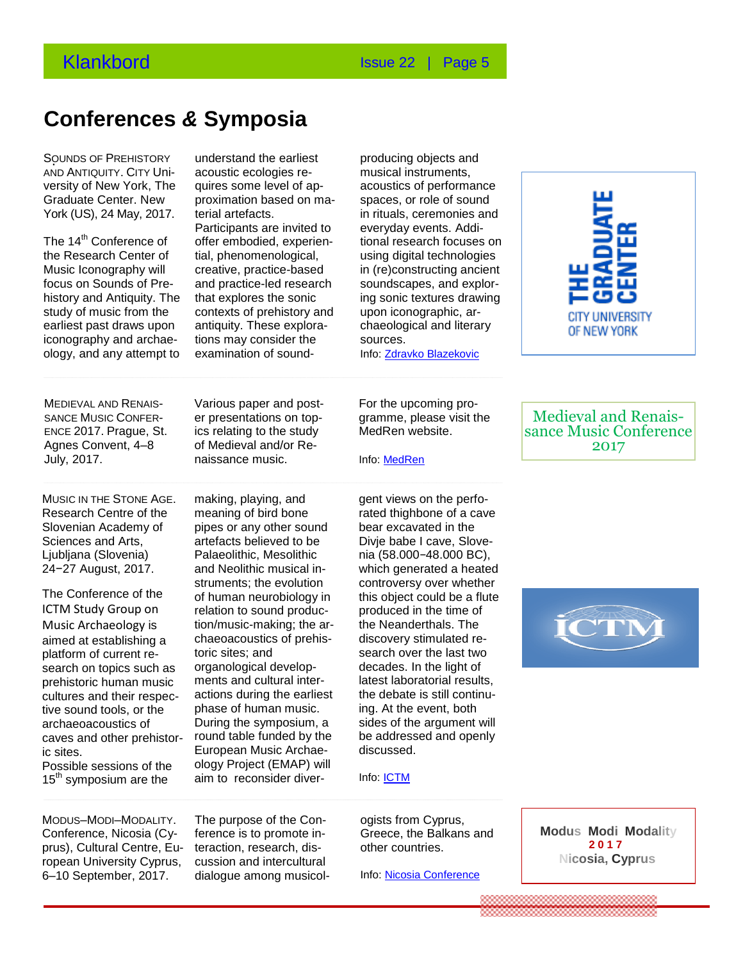## **Conferences** *&* **Symposia**

**Congressen & symposia** 

SOUNDS OF PREHISTORY AND ANTIQUITY. CITY Uni-AND ANTIQUITT. CITY ONI<sup>2</sup> acousite ecologies is<br>versity of New York, The quires some level of Graduate Center. New York (US), 24 May, 2017.

The 14<sup>th</sup> Conference of the Research Center of Music Iconography will Music Iconography will creative, practice-ba<br>focus on Sounds of Pre- and practice-led rese history and Antiquity. The study of music from the earliest past draws upon iconography and archaeology, and any attempt to

understand the earliest acoustic ecologies requires some level of approximation based on material artefacts.

Participants are invited to offer embodied, experiential, phenomenological, creative, practice-based and practice-led research that explores the sonic contexts of prehistory and antiquity. These explorations may consider the examination of sound-

producing objects and musical instruments, acoustics of performance spaces, or role of sound in rituals, ceremonies and everyday events. Additional research focuses on using digital technologies in (re)constructing ancient soundscapes, and exploring sonic textures drawing upon iconographic, archaeological and literary sources. Info: [Zdravko Blazekovic](mailto:zblazekovic@gc.cuny.edu)



**Conferences & Symposia**  naissance music. MEDIEVAL AND RENAIS-SANCE MUSIC CONFER-ENCE 2017. Prague, St. Agnes Convent, 4–8 July, 2017.

**Consumer Slovenian Academy of pipes or any other solution of the Sciences and Arts and Sciences and Arts and Sciences** MUSIC IN THE STONE AGE. Research Centre of the Sciences and Arts, Ljubljana (Slovenia) 24−27 August, 2017.

Music Archaeology is tion/music-making; the ilve sound tools, or the contrast of numan music.<br>archaeoacoustics of **During the symposium**, a The Conference of the ICTM Study Group on aimed at establishing a platform of current research on topics such as prehistoric human music cultures and their respective sound tools, or the archaeoacoustics of caves and other prehistoric sites. Possible sessions of the 15<sup>th</sup> symposium are the

Various paper and poster presentations on topics relating to the study of Medieval and/or Re-

making, playing, and meaning of bird bone pipes or any other sound artefacts believed to be Palaeolithic, Mesolithic and Neolithic musical instruments; the evolution of human neurobiology in relation to sound production/music-making; the archaeoacoustics of prehis-

toric sites; and

organological developments and cultural interactions during the earliest phase of human music.

round table funded by the European Music Archaeology Project (EMAP) will aim to reconsider diverFor the upcoming programme, please visit the MedRen website.

Info: [MedRen](http://www.medrenconference.org/)

gent views on the perforated thighbone of a cave bear excavated in the Divje babe I cave, Slovenia (58.000*−*48.000 BC), which generated a heated controversy over whether this object could be a flute produced in the time of the Neanderthals. The discovery stimulated research over the last two decades. In the light of latest laboratorial results, the debate is still continuing. At the event, both sides of the argument will be addressed and openly discussed.

Info: **ICTM** 

ogists from Cyprus, Greece, the Balkans and other countries.

Info: [Nicosia Conference](http://www.modality2017conference.com/)

Medieval and Renaissance Music Conference 2017



MODUS–MODI–MODALITY. Conference, Nicosia (Cyprus), Cultural Centre, European University Cyprus, 6–10 September, 2017.

The purpose of the Conference is to promote interaction, research, discussion and intercultural dialogue among musicol-

**Modus Modi Modality 2 0 1 7 Nicosia, Cyprus**